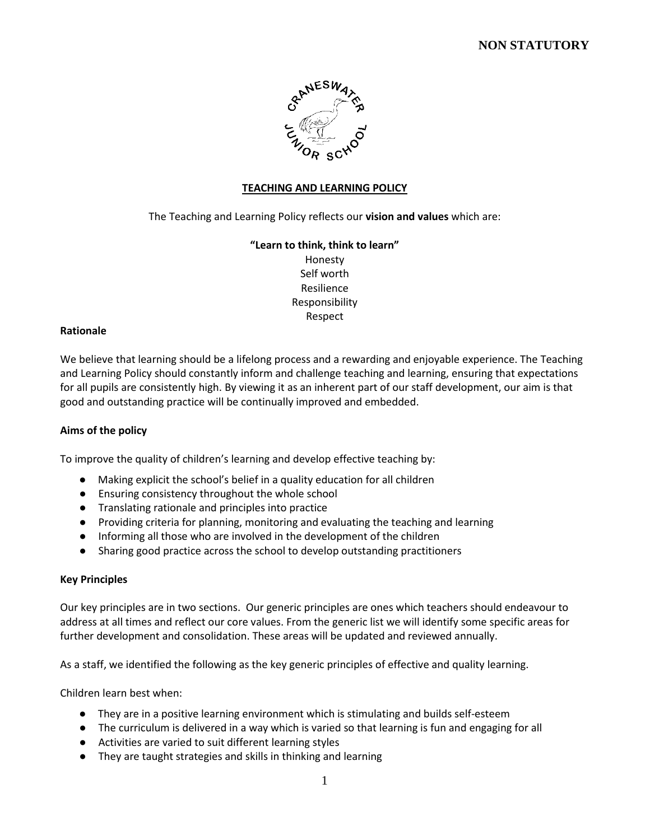

#### **TEACHING AND LEARNING POLICY**

The Teaching and Learning Policy reflects our **vision and values** which are:

## **"Learn to think, think to learn"** Honesty Self worth Resilience Responsibility Respect

#### **Rationale**

We believe that learning should be a lifelong process and a rewarding and enjoyable experience. The Teaching and Learning Policy should constantly inform and challenge teaching and learning, ensuring that expectations for all pupils are consistently high. By viewing it as an inherent part of our staff development, our aim is that good and outstanding practice will be continually improved and embedded.

#### **Aims of the policy**

To improve the quality of children's learning and develop effective teaching by:

- Making explicit the school's belief in a quality education for all children
- Ensuring consistency throughout the whole school
- Translating rationale and principles into practice
- Providing criteria for planning, monitoring and evaluating the teaching and learning
- Informing all those who are involved in the development of the children
- Sharing good practice across the school to develop outstanding practitioners

#### **Key Principles**

Our key principles are in two sections. Our generic principles are ones which teachers should endeavour to address at all times and reflect our core values. From the generic list we will identify some specific areas for further development and consolidation. These areas will be updated and reviewed annually.

As a staff, we identified the following as the key generic principles of effective and quality learning.

Children learn best when:

- They are in a positive learning environment which is stimulating and builds self-esteem
- The curriculum is delivered in a way which is varied so that learning is fun and engaging for all
- Activities are varied to suit different learning styles
- They are taught strategies and skills in thinking and learning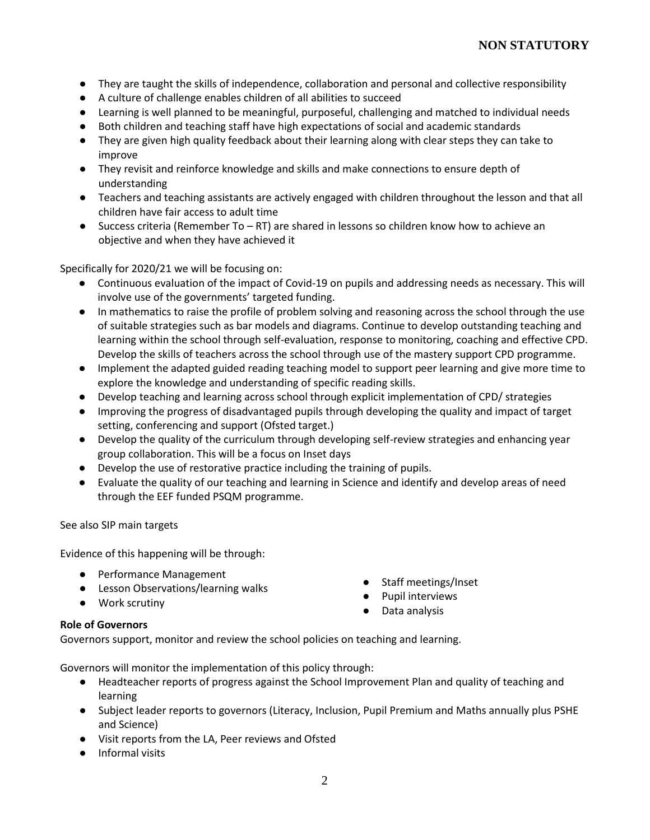- They are taught the skills of independence, collaboration and personal and collective responsibility
- A culture of challenge enables children of all abilities to succeed
- Learning is well planned to be meaningful, purposeful, challenging and matched to individual needs
- Both children and teaching staff have high expectations of social and academic standards
- They are given high quality feedback about their learning along with clear steps they can take to improve
- They revisit and reinforce knowledge and skills and make connections to ensure depth of understanding
- Teachers and teaching assistants are actively engaged with children throughout the lesson and that all children have fair access to adult time
- Success criteria (Remember To RT) are shared in lessons so children know how to achieve an objective and when they have achieved it

Specifically for 2020/21 we will be focusing on:

- Continuous evaluation of the impact of Covid-19 on pupils and addressing needs as necessary. This will involve use of the governments' targeted funding.
- In mathematics to raise the profile of problem solving and reasoning across the school through the use of suitable strategies such as bar models and diagrams. Continue to develop outstanding teaching and learning within the school through self-evaluation, response to monitoring, coaching and effective CPD. Develop the skills of teachers across the school through use of the mastery support CPD programme.
- Implement the adapted guided reading teaching model to support peer learning and give more time to explore the knowledge and understanding of specific reading skills.
- Develop teaching and learning across school through explicit implementation of CPD/ strategies
- Improving the progress of disadvantaged pupils through developing the quality and impact of target setting, conferencing and support (Ofsted target.)
- Develop the quality of the curriculum through developing self-review strategies and enhancing year group collaboration. This will be a focus on Inset days
- Develop the use of restorative practice including the training of pupils.
- Evaluate the quality of our teaching and learning in Science and identify and develop areas of need through the EEF funded PSQM programme.

See also SIP main targets

Evidence of this happening will be through:

- Performance Management
- Lesson Observations/learning walks
- Work scrutiny
- Staff meetings/Inset
- Pupil interviews
- Data analysis

## **Role of Governors**

Governors support, monitor and review the school policies on teaching and learning.

Governors will monitor the implementation of this policy through:

- Headteacher reports of progress against the School Improvement Plan and quality of teaching and learning
- Subject leader reports to governors (Literacy, Inclusion, Pupil Premium and Maths annually plus PSHE and Science)
- Visit reports from the LA, Peer reviews and Ofsted
- Informal visits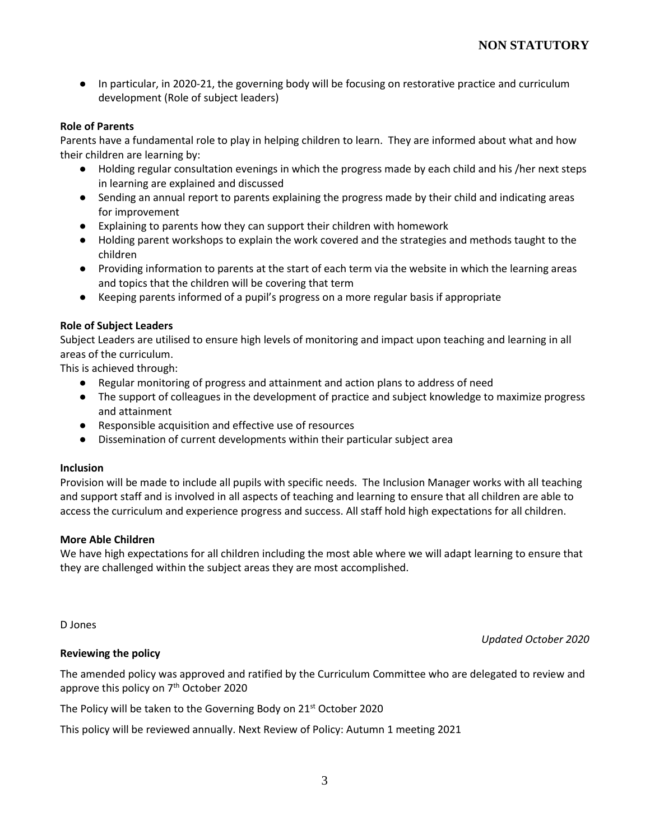● In particular, in 2020-21, the governing body will be focusing on restorative practice and curriculum development (Role of subject leaders)

## **Role of Parents**

Parents have a fundamental role to play in helping children to learn. They are informed about what and how their children are learning by:

- Holding regular consultation evenings in which the progress made by each child and his /her next steps in learning are explained and discussed
- Sending an annual report to parents explaining the progress made by their child and indicating areas for improvement
- Explaining to parents how they can support their children with homework
- Holding parent workshops to explain the work covered and the strategies and methods taught to the children
- Providing information to parents at the start of each term via the website in which the learning areas and topics that the children will be covering that term
- Keeping parents informed of a pupil's progress on a more regular basis if appropriate

## **Role of Subject Leaders**

Subject Leaders are utilised to ensure high levels of monitoring and impact upon teaching and learning in all areas of the curriculum.

This is achieved through:

- Regular monitoring of progress and attainment and action plans to address of need
- The support of colleagues in the development of practice and subject knowledge to maximize progress and attainment
- Responsible acquisition and effective use of resources
- Dissemination of current developments within their particular subject area

#### **Inclusion**

Provision will be made to include all pupils with specific needs. The Inclusion Manager works with all teaching and support staff and is involved in all aspects of teaching and learning to ensure that all children are able to access the curriculum and experience progress and success. All staff hold high expectations for all children.

## **More Able Children**

We have high expectations for all children including the most able where we will adapt learning to ensure that they are challenged within the subject areas they are most accomplished.

D Jones

#### *Updated October 2020*

## **Reviewing the policy**

The amended policy was approved and ratified by the Curriculum Committee who are delegated to review and approve this policy on 7<sup>th</sup> October 2020

The Policy will be taken to the Governing Body on 21<sup>st</sup> October 2020

This policy will be reviewed annually. Next Review of Policy: Autumn 1 meeting 2021